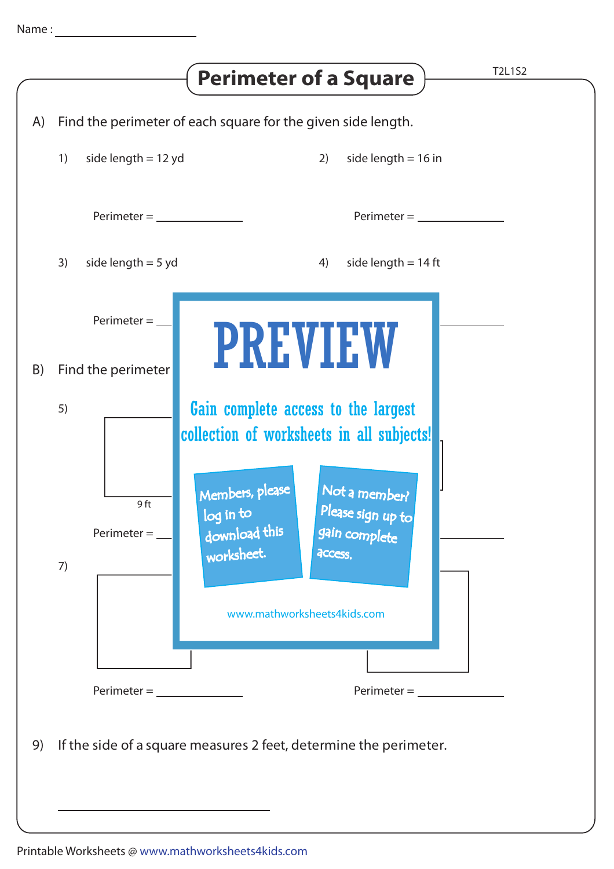